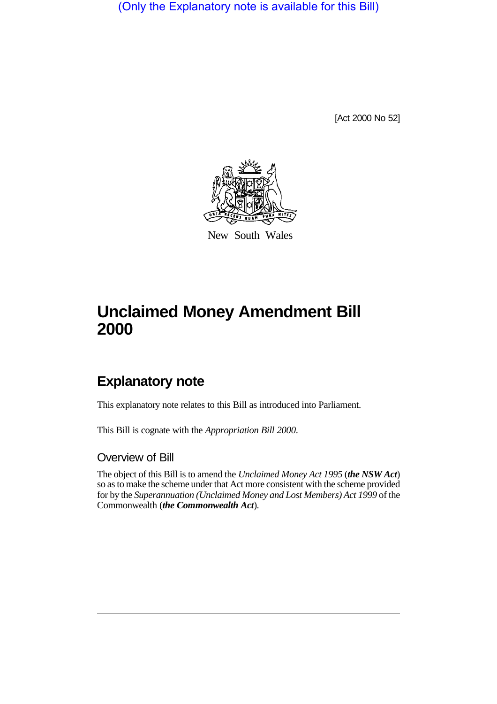(Only the Explanatory note is available for this Bill)

[Act 2000 No 52]



New South Wales

# **Unclaimed Money Amendment Bill 2000**

# **Explanatory note**

This explanatory note relates to this Bill as introduced into Parliament.

This Bill is cognate with the *Appropriation Bill 2000*.

### Overview of Bill

The object of this Bill is to amend the *Unclaimed Money Act 1995* (*the NSW Act*) so as to make the scheme under that Act more consistent with the scheme provided for by the *Superannuation (Unclaimed Money and Lost Members) Act 1999* of the Commonwealth (*the Commonwealth Act*).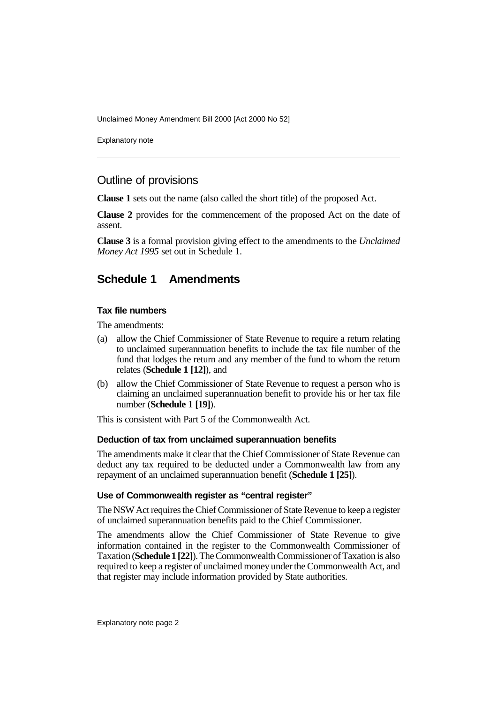Unclaimed Money Amendment Bill 2000 [Act 2000 No 52]

Explanatory note

## Outline of provisions

**Clause 1** sets out the name (also called the short title) of the proposed Act.

**Clause 2** provides for the commencement of the proposed Act on the date of assent.

**Clause 3** is a formal provision giving effect to the amendments to the *Unclaimed Money Act 1995* set out in Schedule 1.

# **Schedule 1 Amendments**

#### **Tax file numbers**

The amendments:

- (a) allow the Chief Commissioner of State Revenue to require a return relating to unclaimed superannuation benefits to include the tax file number of the fund that lodges the return and any member of the fund to whom the return relates (**Schedule 1 [12]**), and
- (b) allow the Chief Commissioner of State Revenue to request a person who is claiming an unclaimed superannuation benefit to provide his or her tax file number (**Schedule 1 [19]**).

This is consistent with Part 5 of the Commonwealth Act.

#### **Deduction of tax from unclaimed superannuation benefits**

The amendments make it clear that the Chief Commissioner of State Revenue can deduct any tax required to be deducted under a Commonwealth law from any repayment of an unclaimed superannuation benefit (**Schedule 1 [25]**).

#### **Use of Commonwealth register as "central register"**

The NSW Act requires the Chief Commissioner of State Revenue to keep a register of unclaimed superannuation benefits paid to the Chief Commissioner.

The amendments allow the Chief Commissioner of State Revenue to give information contained in the register to the Commonwealth Commissioner of Taxation (**Schedule 1 [22]**). The Commonwealth Commissioner of Taxation is also required to keep a register of unclaimed money under the Commonwealth Act, and that register may include information provided by State authorities.